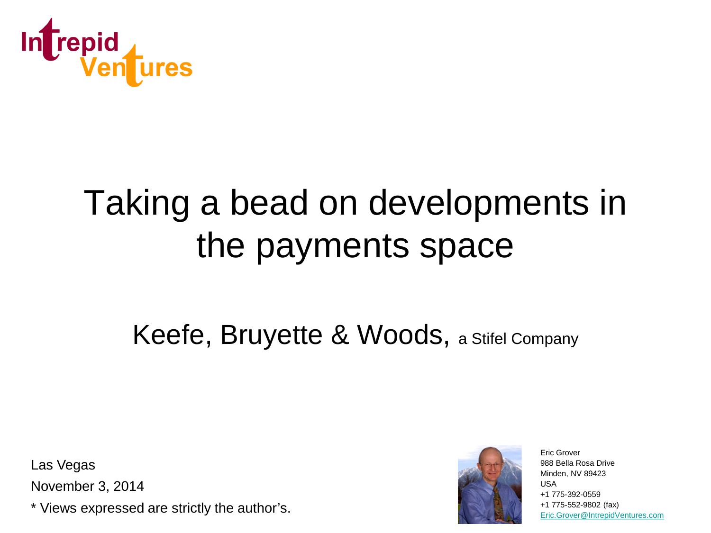

# Taking a bead on developments in the payments space

#### Keefe, Bruyette & Woods, a Stifel Company

Las Vegas

November 3, 2014

\* Views expressed are strictly the author's.



Eric Grover 988 Bella Rosa Drive Minden, NV 89423 USA +1 775-392-0559 +1 775-552-9802 (fax) [Eric.Grover@IntrepidVentures.com](mailto:Eric.Grover@IntrepidVentures.com)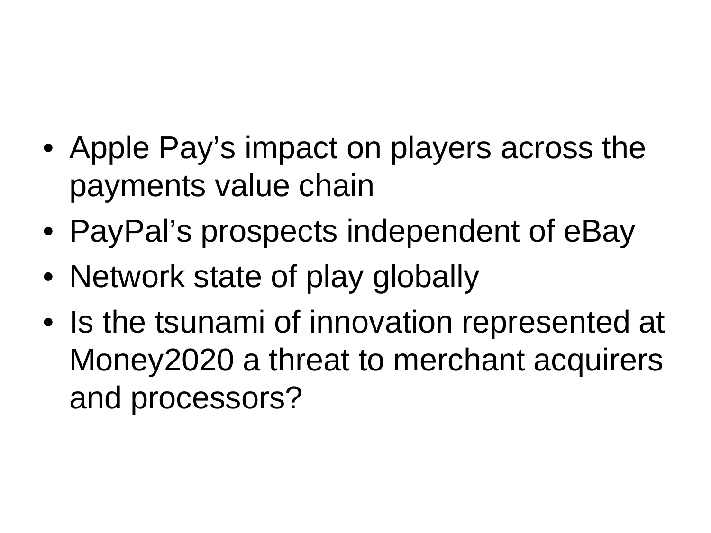- Apple Pay's impact on players across the payments value chain
- PayPal's prospects independent of eBay
- Network state of play globally
- Is the tsunami of innovation represented at Money2020 a threat to merchant acquirers and processors?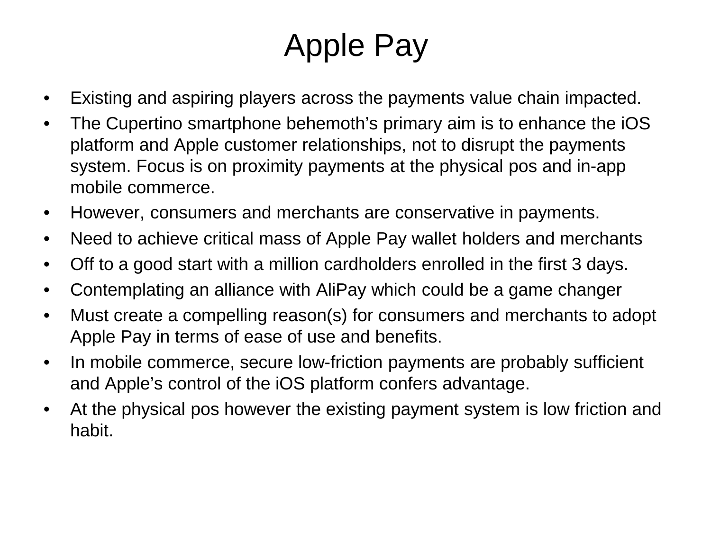- Existing and aspiring players across the payments value chain impacted.
- The Cupertino smartphone behemoth's primary aim is to enhance the iOS platform and Apple customer relationships, not to disrupt the payments system. Focus is on proximity payments at the physical pos and in-app mobile commerce.
- However, consumers and merchants are conservative in payments.
- Need to achieve critical mass of Apple Pay wallet holders and merchants
- Off to a good start with a million cardholders enrolled in the first 3 days.
- Contemplating an alliance with AliPay which could be a game changer
- Must create a compelling reason(s) for consumers and merchants to adopt Apple Pay in terms of ease of use and benefits.
- In mobile commerce, secure low-friction payments are probably sufficient and Apple's control of the iOS platform confers advantage.
- At the physical pos however the existing payment system is low friction and habit.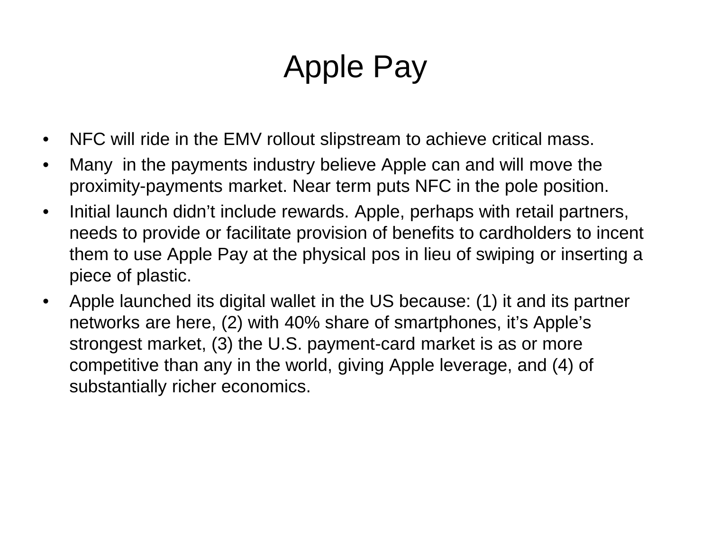- NFC will ride in the EMV rollout slipstream to achieve critical mass.
- Many in the payments industry believe Apple can and will move the proximity-payments market. Near term puts NFC in the pole position.
- Initial launch didn't include rewards. Apple, perhaps with retail partners, needs to provide or facilitate provision of benefits to cardholders to incent them to use Apple Pay at the physical pos in lieu of swiping or inserting a piece of plastic.
- Apple launched its digital wallet in the US because: (1) it and its partner networks are here, (2) with 40% share of smartphones, it's Apple's strongest market, (3) the U.S. payment-card market is as or more competitive than any in the world, giving Apple leverage, and (4) of substantially richer economics.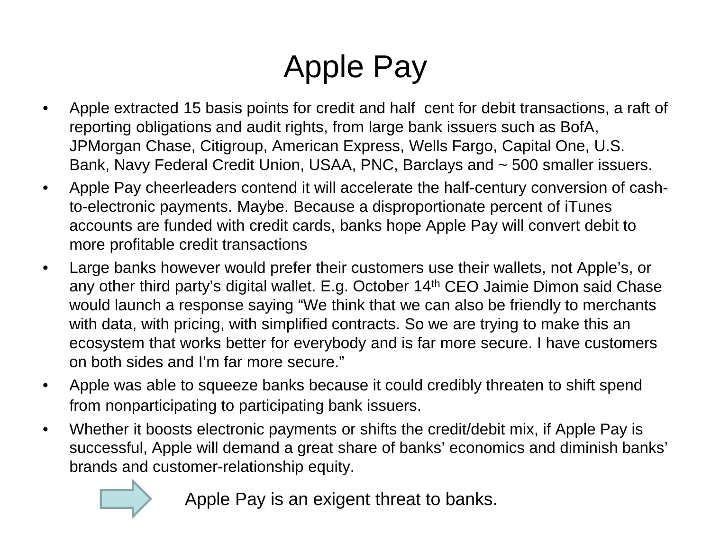- Apple extracted 15 basis points for credit and half cent for debit transactions, a raft of reporting obligations and audit rights, from large bank issuers such as BofA, JPMorgan Chase, Citigroup, American Express, Wells Fargo, Capital One, U.S. Bank, Navy Federal Credit Union, USAA, PNC, Barclays and ~ 500 smaller issuers.
- Apple Pay cheerleaders contend it will accelerate the half-century conversion of cashto-electronic payments. Maybe. Because a disproportionate percent of iTunes accounts are funded with credit cards, banks hope Apple Pay will convert debit to more profitable credit transactions
- Large banks however would prefer their customers use their wallets, not Apple's, or any other third party's digital wallet. E.g. October 14th CEO Jaimie Dimon said Chase would launch a response saying "We think that we can also be friendly to merchants with data, with pricing, with simplified contracts. So we are trying to make this an ecosystem that works better for everybody and is far more secure. I have customers on both sides and I'm far more secure."
- Apple was able to squeeze banks because it could credibly threaten to shift spend from nonparticipating to participating bank issuers.
- Whether it boosts electronic payments or shifts the credit/debit mix, if Apple Pay is successful, Apple will demand a great share of banks' economics and diminish banks' brands and customer-relationship equity.



Apple Pay is an exigent threat to banks.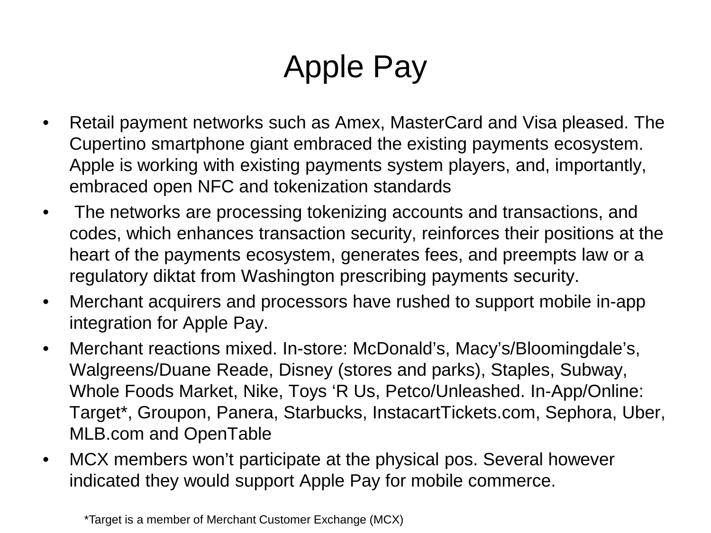- Retail payment networks such as Amex, MasterCard and Visa pleased. The Cupertino smartphone giant embraced the existing payments ecosystem. Apple is working with existing payments system players, and, importantly, embraced open NFC and tokenization standards
- The networks are processing tokenizing accounts and transactions, and codes, which enhances transaction security, reinforces their positions at the heart of the payments ecosystem, generates fees, and preempts law or a regulatory diktat from Washington prescribing payments security.
- Merchant acquirers and processors have rushed to support mobile in-app integration for Apple Pay.
- Merchant reactions mixed. In-store: McDonald's, Macy's/Bloomingdale's, Walgreens/Duane Reade, Disney (stores and parks), Staples, Subway, Whole Foods Market, Nike, Toys 'R Us, Petco/Unleashed. In-App/Online: Target\*, Groupon, Panera, Starbucks, InstacartTickets.com, Sephora, Uber, MLB.com and OpenTable
- MCX members won't participate at the physical pos. Several however indicated they would support Apple Pay for mobile commerce.

\*Target is a member of Merchant Customer Exchange (MCX)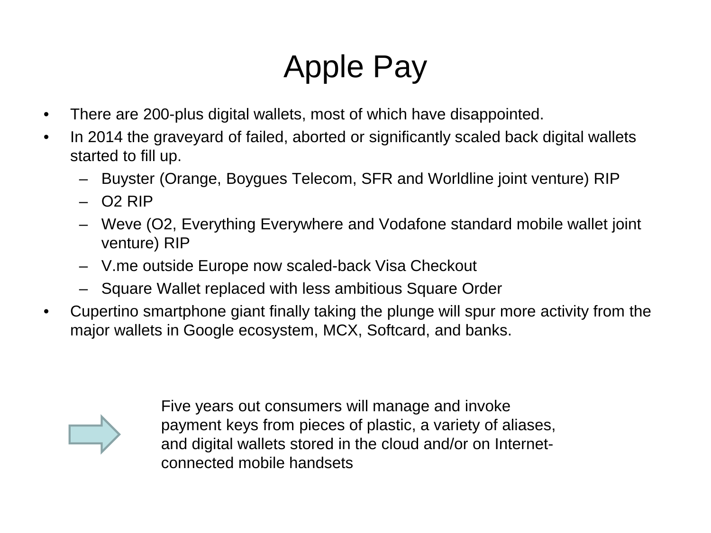- There are 200-plus digital wallets, most of which have disappointed.
- In 2014 the graveyard of failed, aborted or significantly scaled back digital wallets started to fill up.
	- Buyster (Orange, Boygues Telecom, SFR and Worldline joint venture) RIP
	- $02$  RIP
	- Weve (O2, Everything Everywhere and Vodafone standard mobile wallet joint venture) RIP
	- V.me outside Europe now scaled-back Visa Checkout
	- Square Wallet replaced with less ambitious Square Order
- Cupertino smartphone giant finally taking the plunge will spur more activity from the major wallets in Google ecosystem, MCX, Softcard, and banks.

Five years out consumers will manage and invoke payment keys from pieces of plastic, a variety of aliases, and digital wallets stored in the cloud and/or on Internetconnected mobile handsets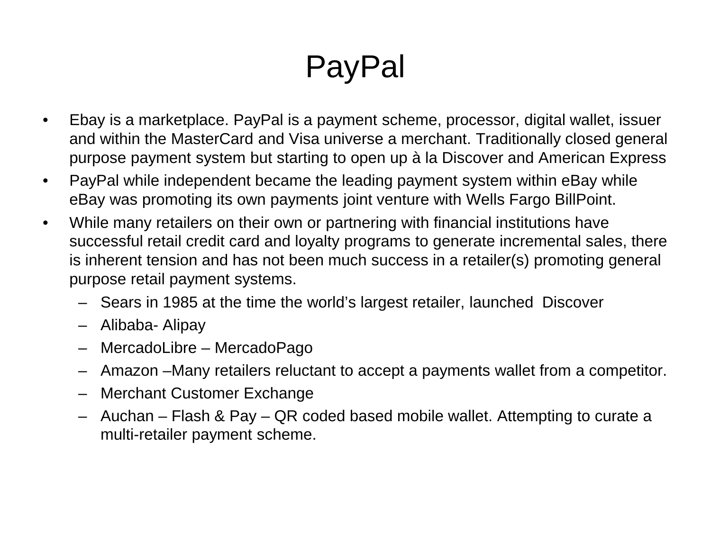# PayPal

- Ebay is a marketplace. PayPal is a payment scheme, processor, digital wallet, issuer and within the MasterCard and Visa universe a merchant. Traditionally closed general purpose payment system but starting to open up à la Discover and American Express
- PayPal while independent became the leading payment system within eBay while eBay was promoting its own payments joint venture with Wells Fargo BillPoint.
- While many retailers on their own or partnering with financial institutions have successful retail credit card and loyalty programs to generate incremental sales, there is inherent tension and has not been much success in a retailer(s) promoting general purpose retail payment systems.
	- Sears in 1985 at the time the world's largest retailer, launched Discover
	- Alibaba- Alipay
	- MercadoLibre MercadoPago
	- Amazon –Many retailers reluctant to accept a payments wallet from a competitor.
	- Merchant Customer Exchange
	- Auchan Flash & Pay QR coded based mobile wallet. Attempting to curate a multi-retailer payment scheme.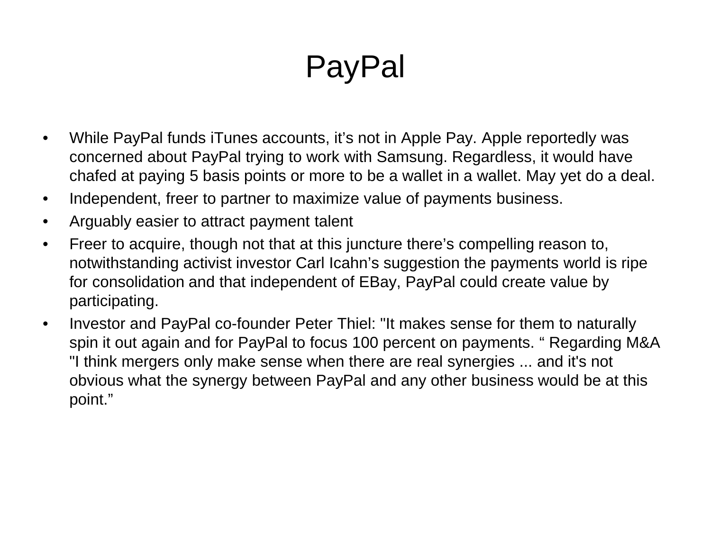# PayPal

- While PayPal funds iTunes accounts, it's not in Apple Pay. Apple reportedly was concerned about PayPal trying to work with Samsung. Regardless, it would have chafed at paying 5 basis points or more to be a wallet in a wallet. May yet do a deal.
- Independent, freer to partner to maximize value of payments business.
- Arguably easier to attract payment talent
- Freer to acquire, though not that at this juncture there's compelling reason to, notwithstanding activist investor Carl Icahn's suggestion the payments world is ripe for consolidation and that independent of EBay, PayPal could create value by participating.
- Investor and PayPal co-founder Peter Thiel: "It makes sense for them to naturally spin it out again and for PayPal to focus 100 percent on payments. " Regarding M&A "I think mergers only make sense when there are real synergies ... and it's not obvious what the synergy between PayPal and any other business would be at this point."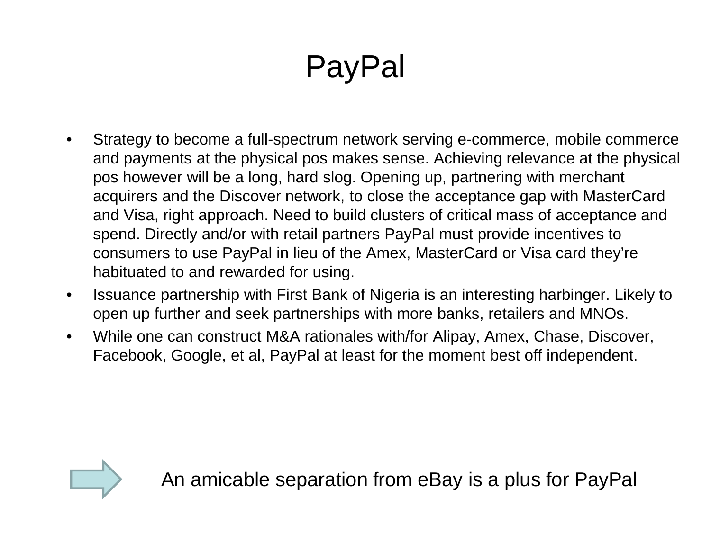# PayPal

- Strategy to become a full-spectrum network serving e-commerce, mobile commerce and payments at the physical pos makes sense. Achieving relevance at the physical pos however will be a long, hard slog. Opening up, partnering with merchant acquirers and the Discover network, to close the acceptance gap with MasterCard and Visa, right approach. Need to build clusters of critical mass of acceptance and spend. Directly and/or with retail partners PayPal must provide incentives to consumers to use PayPal in lieu of the Amex, MasterCard or Visa card they're habituated to and rewarded for using.
- Issuance partnership with First Bank of Nigeria is an interesting harbinger. Likely to open up further and seek partnerships with more banks, retailers and MNOs.
- While one can construct M&A rationales with/for Alipay, Amex, Chase, Discover, Facebook, Google, et al, PayPal at least for the moment best off independent.



An amicable separation from eBay is a plus for PayPal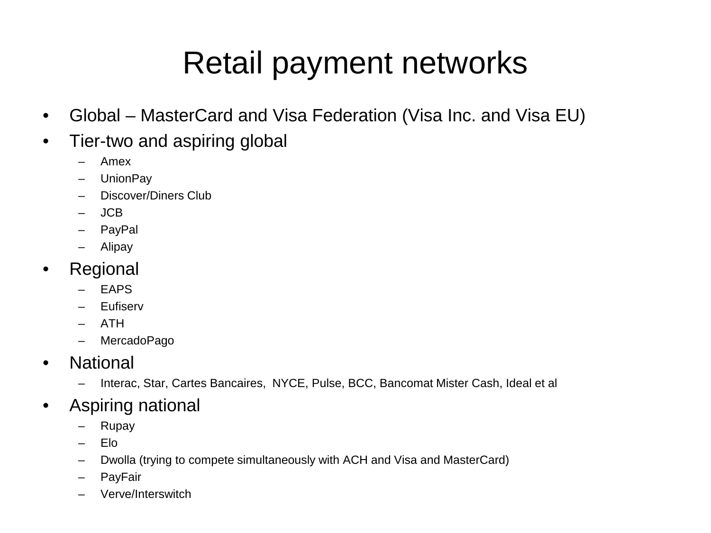### Retail payment networks

- Global MasterCard and Visa Federation (Visa Inc. and Visa EU)
- Tier-two and aspiring global
	- Amex
	- UnionPay
	- Discover/Diners Club
	- JCB
	- PayPal
	- Alipay
- Regional
	- EAPS
	- Eufiserv
	- ATH
	- MercadoPago
- National
	- Interac, Star, Cartes Bancaires, NYCE, Pulse, BCC, Bancomat Mister Cash, Ideal et al
- Aspiring national
	- Rupay
	- Elo
	- Dwolla (trying to compete simultaneously with ACH and Visa and MasterCard)
	- PayFair
	- Verve/Interswitch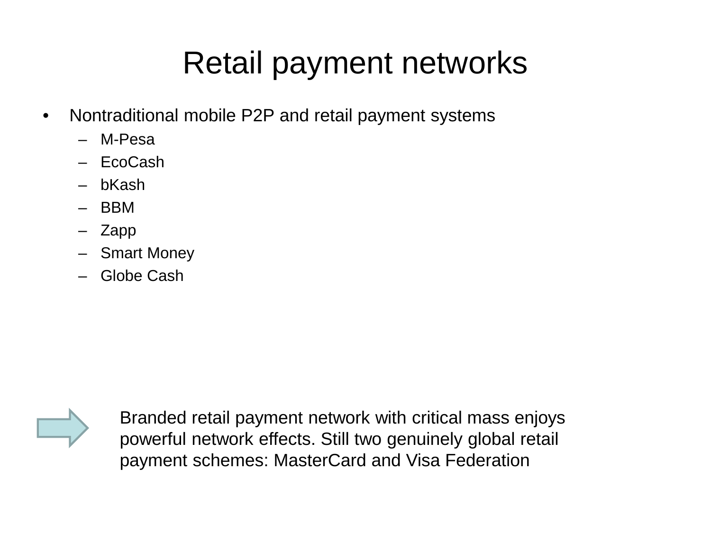### Retail payment networks

- Nontraditional mobile P2P and retail payment systems
	- M-Pesa
	- EcoCash
	- bKash
	- BBM
	- Zapp
	- Smart Money
	- Globe Cash



Branded retail payment network with critical mass enjoys powerful network effects. Still two genuinely global retail payment schemes: MasterCard and Visa Federation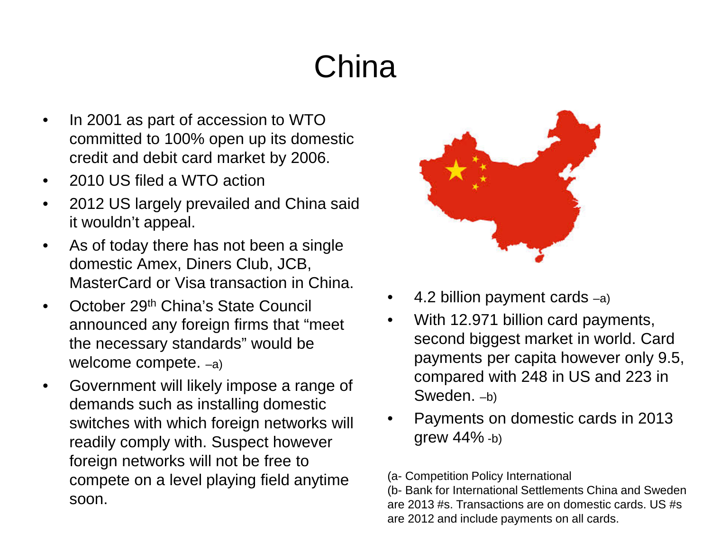# **China**

- In 2001 as part of accession to WTO committed to 100% open up its domestic credit and debit card market by 2006.
- 2010 US filed a WTO action
- 2012 US largely prevailed and China said it wouldn't appeal.
- As of today there has not been a single domestic Amex, Diners Club, JCB, MasterCard or Visa transaction in China.
- October 29<sup>th</sup> China's State Council announced any foreign firms that "meet the necessary standards" would be welcome compete. –a)
- Government will likely impose a range of demands such as installing domestic switches with which foreign networks will readily comply with. Suspect however foreign networks will not be free to compete on a level playing field anytime soon.



- 4.2 billion payment cards  $-a$ )
- With 12.971 billion card payments, second biggest market in world. Card payments per capita however only 9.5, compared with 248 in US and 223 in Sweden. –b)
- Payments on domestic cards in 2013 grew 44% -b)

(a- Competition Policy International

(b- Bank for International Settlements China and Sweden are 2013 #s. Transactions are on domestic cards. US #s are 2012 and include payments on all cards.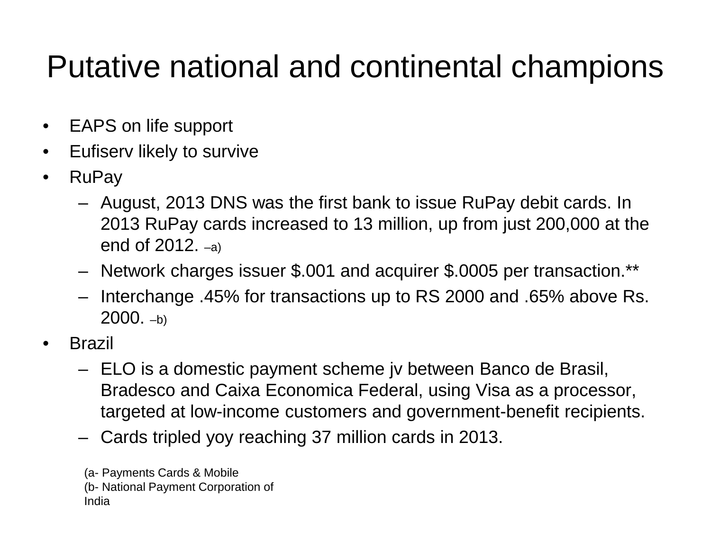#### Putative national and continental champions

- EAPS on life support
- Eufiserv likely to survive
- RuPay
	- August, 2013 DNS was the first bank to issue RuPay debit cards. In 2013 RuPay cards increased to 13 million, up from just 200,000 at the end of 2012. –a)
	- Network charges issuer \$.001 and acquirer \$.0005 per transaction.\*\*
	- Interchange .45% for transactions up to RS 2000 and .65% above Rs.  $2000. -b)$
- Brazil
	- ELO is a domestic payment scheme jv between Banco de Brasil, Bradesco and Caixa Economica Federal, using Visa as a processor, targeted at low-income customers and government-benefit recipients.
	- Cards tripled yoy reaching 37 million cards in 2013.

(a- Payments Cards & Mobile (b- National Payment Corporation of India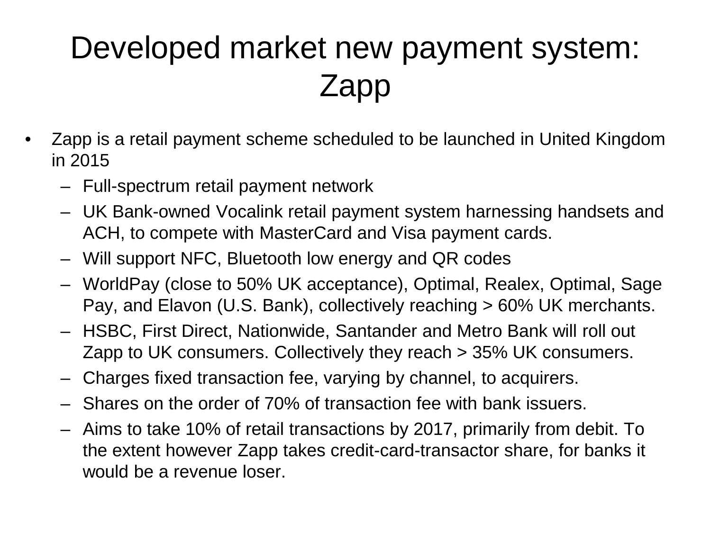## Developed market new payment system: Zapp

- Zapp is a retail payment scheme scheduled to be launched in United Kingdom in 2015
	- Full-spectrum retail payment network
	- UK Bank-owned Vocalink retail payment system harnessing handsets and ACH, to compete with MasterCard and Visa payment cards.
	- Will support NFC, Bluetooth low energy and QR codes
	- WorldPay (close to 50% UK acceptance), Optimal, Realex, Optimal, Sage Pay, and Elavon (U.S. Bank), collectively reaching > 60% UK merchants.
	- HSBC, First Direct, Nationwide, Santander and Metro Bank will roll out Zapp to UK consumers. Collectively they reach > 35% UK consumers.
	- Charges fixed transaction fee, varying by channel, to acquirers.
	- Shares on the order of 70% of transaction fee with bank issuers.
	- Aims to take 10% of retail transactions by 2017, primarily from debit. To the extent however Zapp takes credit-card-transactor share, for banks it would be a revenue loser.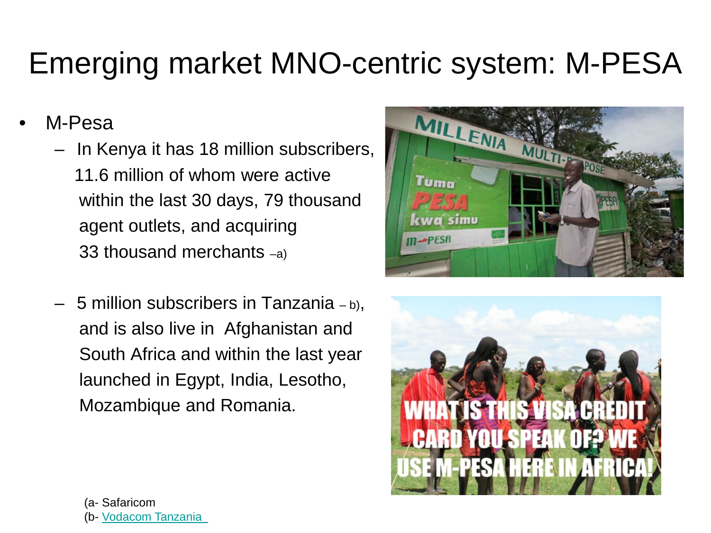#### Emerging market MNO-centric system: M-PESA

- M-Pesa
	- In Kenya it has 18 million subscribers, 11.6 million of whom were active within the last 30 days, 79 thousand agent outlets, and acquiring 33 thousand merchants –a)
	- 5 million subscribers in Tanzania  $b$ ), and is also live in Afghanistan and South Africa and within the last year launched in Egypt, India, Lesotho, Mozambique and Romania.



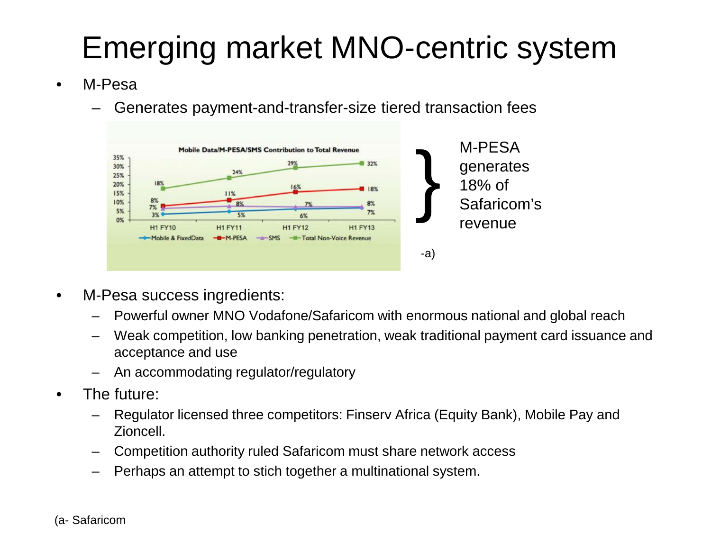### Emerging market MNO-centric system

- M-Pesa
	- Generates payment-and-transfer-size tiered transaction fees



- M-Pesa success ingredients:
	- Powerful owner MNO Vodafone/Safaricom with enormous national and global reach
	- Weak competition, low banking penetration, weak traditional payment card issuance and acceptance and use
	- An accommodating regulator/regulatory
- The future:
	- Regulator licensed three competitors: Finserv Africa (Equity Bank), Mobile Pay and Zioncell.
	- Competition authority ruled Safaricom must share network access
	- Perhaps an attempt to stich together a multinational system.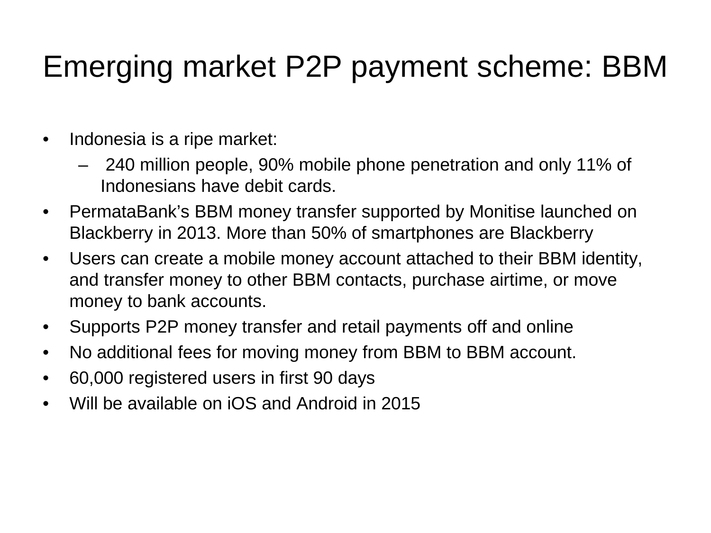#### Emerging market P2P payment scheme: BBM

- Indonesia is a ripe market:
	- 240 million people, 90% mobile phone penetration and only 11% of Indonesians have debit cards.
- PermataBank's BBM money transfer supported by Monitise launched on Blackberry in 2013. More than 50% of smartphones are Blackberry
- Users can create a mobile money account attached to their BBM identity, and transfer money to other BBM contacts, purchase airtime, or move money to bank accounts.
- Supports P2P money transfer and retail payments off and online
- No additional fees for moving money from BBM to BBM account.
- 60,000 registered users in first 90 days
- Will be available on iOS and Android in 2015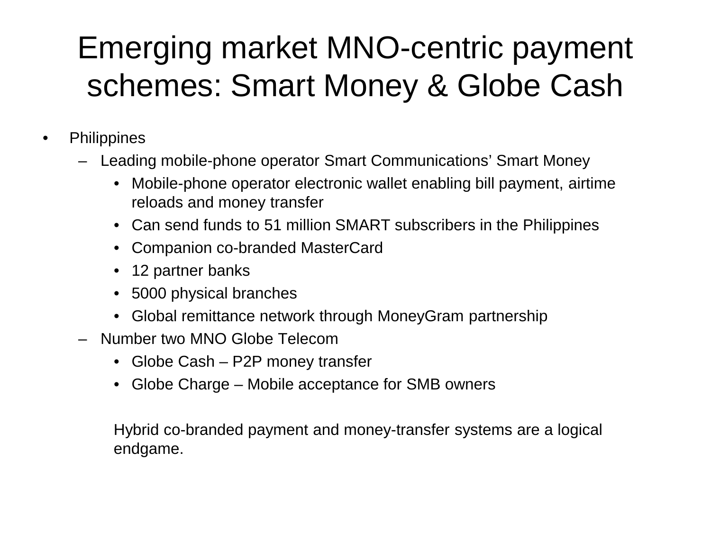### Emerging market MNO-centric payment schemes: Smart Money & Globe Cash

- Philippines
	- Leading mobile-phone operator Smart Communications' Smart Money
		- Mobile-phone operator electronic wallet enabling bill payment, airtime reloads and money transfer
		- Can send funds to 51 million SMART subscribers in the Philippines
		- Companion co-branded MasterCard
		- 12 partner banks
		- 5000 physical branches
		- Global remittance network through MoneyGram partnership
	- Number two MNO Globe Telecom
		- Globe Cash P2P money transfer
		- Globe Charge Mobile acceptance for SMB owners

Hybrid co-branded payment and money-transfer systems are a logical endgame.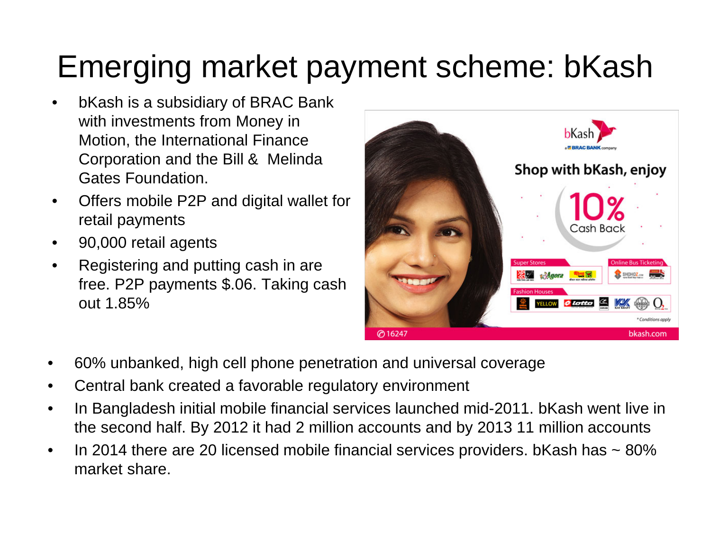### Emerging market payment scheme: bKash

- bKash is a subsidiary of BRAC Bank with investments from Money in Motion, the International Finance Corporation and the Bill & Melinda Gates Foundation.
- Offers mobile P2P and digital wallet for retail payments
- 90,000 retail agents
- Registering and putting cash in are free. P2P payments \$.06. Taking cash out 1.85%



- 60% unbanked, high cell phone penetration and universal coverage
- Central bank created a favorable regulatory environment
- In Bangladesh initial mobile financial services launched mid-2011. bKash went live in the second half. By 2012 it had 2 million accounts and by 2013 11 million accounts
- In 2014 there are 20 licensed mobile financial services providers. bKash has  $\sim$  80% market share.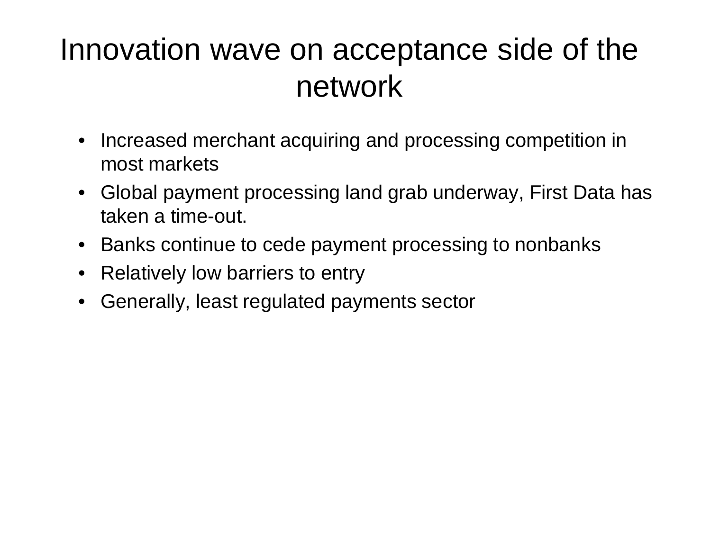#### Innovation wave on acceptance side of the network

- Increased merchant acquiring and processing competition in most markets
- Global payment processing land grab underway, First Data has taken a time-out.
- Banks continue to cede payment processing to nonbanks
- Relatively low barriers to entry
- Generally, least regulated payments sector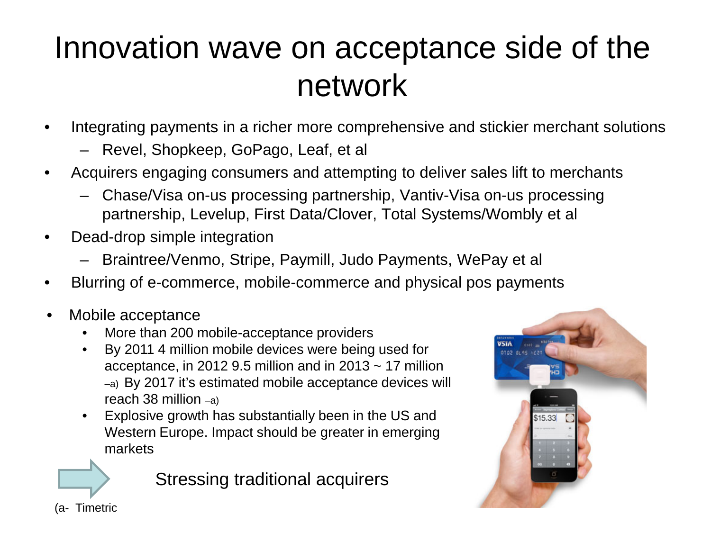### Innovation wave on acceptance side of the network

- Integrating payments in a richer more comprehensive and stickier merchant solutions
	- Revel, Shopkeep, GoPago, Leaf, et al
- Acquirers engaging consumers and attempting to deliver sales lift to merchants
	- Chase/Visa on-us processing partnership, Vantiv-Visa on-us processing partnership, Levelup, First Data/Clover, Total Systems/Wombly et al
- Dead-drop simple integration
	- Braintree/Venmo, Stripe, Paymill, Judo Payments, WePay et al
- Blurring of e-commerce, mobile-commerce and physical pos payments
- Mobile acceptance
	- More than 200 mobile-acceptance providers
	- By 2011 4 million mobile devices were being used for acceptance, in 2012 9.5 million and in 2013  $\sim$  17 million –a) By 2017 it's estimated mobile acceptance devices will reach 38 million –a)
	- Explosive growth has substantially been in the US and Western Europe. Impact should be greater in emerging markets

Stressing traditional acquirers



(a- Timetric